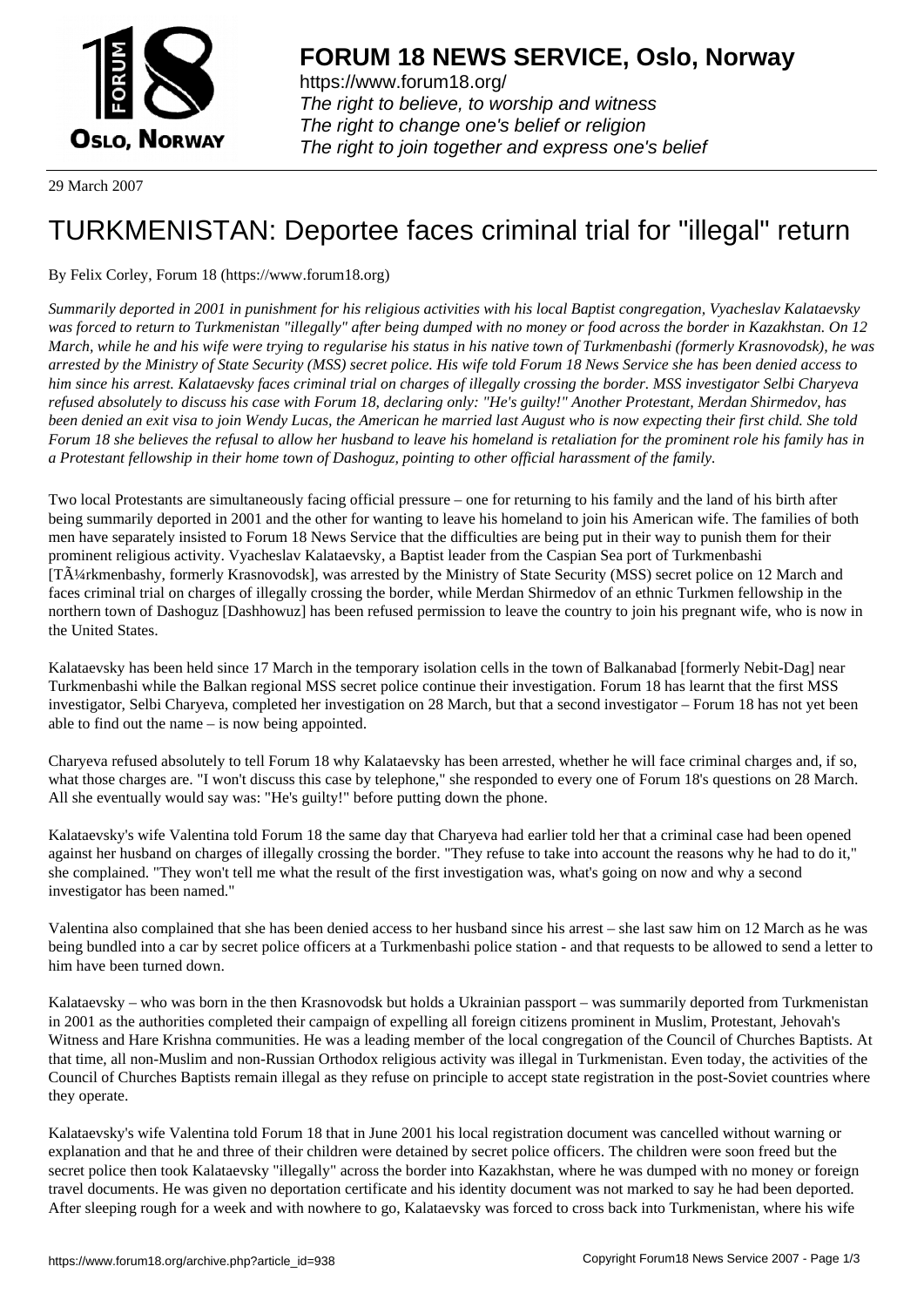

https://www.forum18.org/ The right to believe, to worship and witness The right to change one's belief or religion [The right to join together a](https://www.forum18.org/)nd express one's belief

29 March 2007

## [TURKMENISTA](https://www.forum18.org)N: Deportee faces criminal trial for "illegal" return

## By Felix Corley, Forum 18 (https://www.forum18.org)

*Summarily deported in 2001 in punishment for his religious activities with his local Baptist congregation, Vyacheslav Kalataevsky was forced to return to Turkmenistan "illegally" after being dumped with no money or food across the border in Kazakhstan. On 12 March, while he and his wife were trying to regularise his status in his native town of Turkmenbashi (formerly Krasnovodsk), he was arrested by the Ministry of State Security (MSS) secret police. His wife told Forum 18 News Service she has been denied access to him since his arrest. Kalataevsky faces criminal trial on charges of illegally crossing the border. MSS investigator Selbi Charyeva refused absolutely to discuss his case with Forum 18, declaring only: "He's guilty!" Another Protestant, Merdan Shirmedov, has been denied an exit visa to join Wendy Lucas, the American he married last August who is now expecting their first child. She told Forum 18 she believes the refusal to allow her husband to leave his homeland is retaliation for the prominent role his family has in a Protestant fellowship in their home town of Dashoguz, pointing to other official harassment of the family.*

Two local Protestants are simultaneously facing official pressure – one for returning to his family and the land of his birth after being summarily deported in 2001 and the other for wanting to leave his homeland to join his American wife. The families of both men have separately insisted to Forum 18 News Service that the difficulties are being put in their way to punish them for their prominent religious activity. Vyacheslav Kalataevsky, a Baptist leader from the Caspian Sea port of Turkmenbashi [T $\tilde{A}$ ¼rkmenbashy, formerly Krasnovodsk], was arrested by the Ministry of State Security (MSS) secret police on 12 March and faces criminal trial on charges of illegally crossing the border, while Merdan Shirmedov of an ethnic Turkmen fellowship in the northern town of Dashoguz [Dashhowuz] has been refused permission to leave the country to join his pregnant wife, who is now in the United States.

Kalataevsky has been held since 17 March in the temporary isolation cells in the town of Balkanabad [formerly Nebit-Dag] near Turkmenbashi while the Balkan regional MSS secret police continue their investigation. Forum 18 has learnt that the first MSS investigator, Selbi Charyeva, completed her investigation on 28 March, but that a second investigator – Forum 18 has not yet been able to find out the name – is now being appointed.

Charyeva refused absolutely to tell Forum 18 why Kalataevsky has been arrested, whether he will face criminal charges and, if so, what those charges are. "I won't discuss this case by telephone," she responded to every one of Forum 18's questions on 28 March. All she eventually would say was: "He's guilty!" before putting down the phone.

Kalataevsky's wife Valentina told Forum 18 the same day that Charyeva had earlier told her that a criminal case had been opened against her husband on charges of illegally crossing the border. "They refuse to take into account the reasons why he had to do it," she complained. "They won't tell me what the result of the first investigation was, what's going on now and why a second investigator has been named."

Valentina also complained that she has been denied access to her husband since his arrest – she last saw him on 12 March as he was being bundled into a car by secret police officers at a Turkmenbashi police station - and that requests to be allowed to send a letter to him have been turned down.

Kalataevsky – who was born in the then Krasnovodsk but holds a Ukrainian passport – was summarily deported from Turkmenistan in 2001 as the authorities completed their campaign of expelling all foreign citizens prominent in Muslim, Protestant, Jehovah's Witness and Hare Krishna communities. He was a leading member of the local congregation of the Council of Churches Baptists. At that time, all non-Muslim and non-Russian Orthodox religious activity was illegal in Turkmenistan. Even today, the activities of the Council of Churches Baptists remain illegal as they refuse on principle to accept state registration in the post-Soviet countries where they operate.

Kalataevsky's wife Valentina told Forum 18 that in June 2001 his local registration document was cancelled without warning or explanation and that he and three of their children were detained by secret police officers. The children were soon freed but the secret police then took Kalataevsky "illegally" across the border into Kazakhstan, where he was dumped with no money or foreign travel documents. He was given no deportation certificate and his identity document was not marked to say he had been deported. After sleeping rough for a week and with nowhere to go, Kalataevsky was forced to cross back into Turkmenistan, where his wife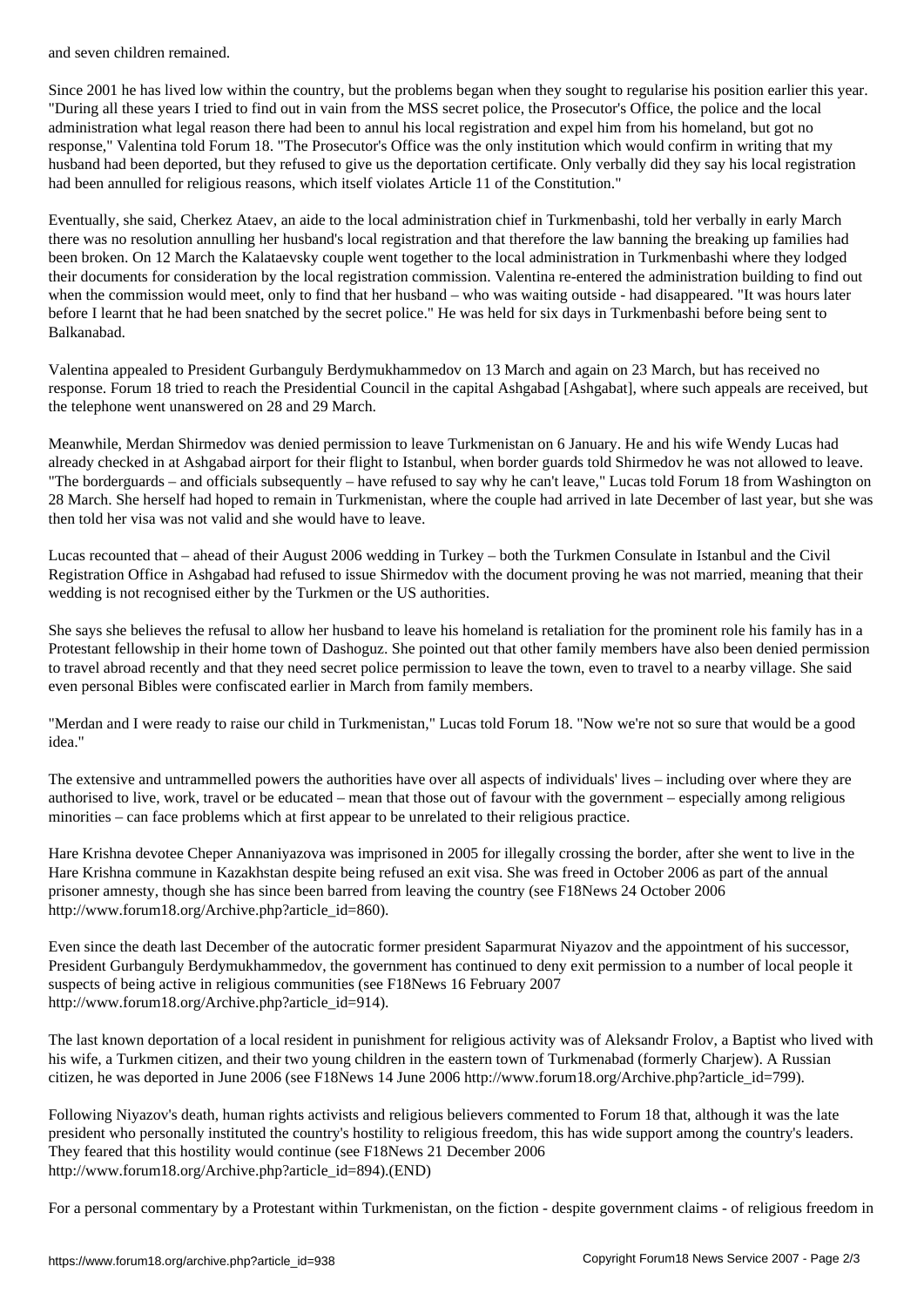Since 2001 he has lived low within the country, but the problems began when they sought to regularise his position earlier this year. "During all these years I tried to find out in vain from the MSS secret police, the Prosecutor's Office, the police and the local administration what legal reason there had been to annul his local registration and expel him from his homeland, but got no response," Valentina told Forum 18. "The Prosecutor's Office was the only institution which would confirm in writing that my husband had been deported, but they refused to give us the deportation certificate. Only verbally did they say his local registration had been annulled for religious reasons, which itself violates Article 11 of the Constitution."

Eventually, she said, Cherkez Ataev, an aide to the local administration chief in Turkmenbashi, told her verbally in early March there was no resolution annulling her husband's local registration and that therefore the law banning the breaking up families had been broken. On 12 March the Kalataevsky couple went together to the local administration in Turkmenbashi where they lodged their documents for consideration by the local registration commission. Valentina re-entered the administration building to find out when the commission would meet, only to find that her husband – who was waiting outside - had disappeared. "It was hours later before I learnt that he had been snatched by the secret police." He was held for six days in Turkmenbashi before being sent to Balkanabad.

Valentina appealed to President Gurbanguly Berdymukhammedov on 13 March and again on 23 March, but has received no response. Forum 18 tried to reach the Presidential Council in the capital Ashgabad [Ashgabat], where such appeals are received, but the telephone went unanswered on 28 and 29 March.

Meanwhile, Merdan Shirmedov was denied permission to leave Turkmenistan on 6 January. He and his wife Wendy Lucas had already checked in at Ashgabad airport for their flight to Istanbul, when border guards told Shirmedov he was not allowed to leave. "The borderguards – and officials subsequently – have refused to say why he can't leave," Lucas told Forum 18 from Washington on 28 March. She herself had hoped to remain in Turkmenistan, where the couple had arrived in late December of last year, but she was then told her visa was not valid and she would have to leave.

Lucas recounted that – ahead of their August 2006 wedding in Turkey – both the Turkmen Consulate in Istanbul and the Civil Registration Office in Ashgabad had refused to issue Shirmedov with the document proving he was not married, meaning that their wedding is not recognised either by the Turkmen or the US authorities.

She says she believes the refusal to allow her husband to leave his homeland is retaliation for the prominent role his family has in a Protestant fellowship in their home town of Dashoguz. She pointed out that other family members have also been denied permission to travel abroad recently and that they need secret police permission to leave the town, even to travel to a nearby village. She said even personal Bibles were confiscated earlier in March from family members.

"Merdan and I were ready to raise our child in Turkmenistan," Lucas told Forum 18. "Now we're not so sure that would be a good idea."

The extensive and untrammelled powers the authorities have over all aspects of individuals' lives – including over where they are authorised to live, work, travel or be educated – mean that those out of favour with the government – especially among religious minorities – can face problems which at first appear to be unrelated to their religious practice.

Hare Krishna devotee Cheper Annaniyazova was imprisoned in 2005 for illegally crossing the border, after she went to live in the Hare Krishna commune in Kazakhstan despite being refused an exit visa. She was freed in October 2006 as part of the annual prisoner amnesty, though she has since been barred from leaving the country (see F18News 24 October 2006 http://www.forum18.org/Archive.php?article\_id=860).

Even since the death last December of the autocratic former president Saparmurat Niyazov and the appointment of his successor, President Gurbanguly Berdymukhammedov, the government has continued to deny exit permission to a number of local people it suspects of being active in religious communities (see F18News 16 February 2007 http://www.forum18.org/Archive.php?article\_id=914).

The last known deportation of a local resident in punishment for religious activity was of Aleksandr Frolov, a Baptist who lived with his wife, a Turkmen citizen, and their two young children in the eastern town of Turkmenabad (formerly Charjew). A Russian citizen, he was deported in June 2006 (see F18News 14 June 2006 http://www.forum18.org/Archive.php?article\_id=799).

Following Niyazov's death, human rights activists and religious believers commented to Forum 18 that, although it was the late president who personally instituted the country's hostility to religious freedom, this has wide support among the country's leaders. They feared that this hostility would continue (see F18News 21 December 2006 http://www.forum18.org/Archive.php?article\_id=894).(END)

For a personal commentary by a Protestant within Turkmenistan, on the fiction - despite government claims - of religious freedom in